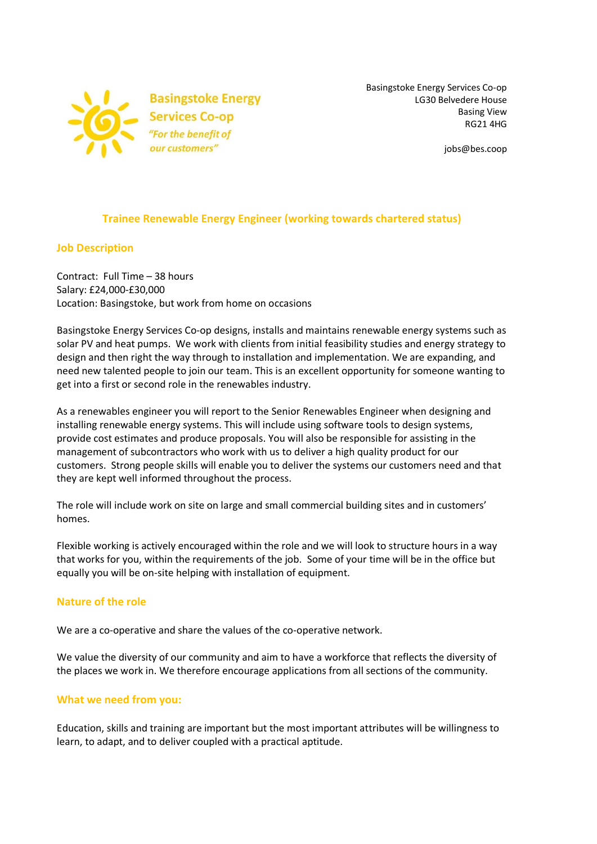

Basingstoke Energy Services Co-op LG30 Belvedere House Basing View RG21 4HG

jobs@bes.coop

# **Trainee Renewable Energy Engineer (working towards chartered status)**

#### **Job Description**

Contract: Full Time – 38 hours Salary: £24,000-£30,000 Location: Basingstoke, but work from home on occasions

Basingstoke Energy Services Co-op designs, installs and maintains renewable energy systems such as solar PV and heat pumps. We work with clients from initial feasibility studies and energy strategy to design and then right the way through to installation and implementation. We are expanding, and need new talented people to join our team. This is an excellent opportunity for someone wanting to get into a first or second role in the renewables industry.

As a renewables engineer you will report to the Senior Renewables Engineer when designing and installing renewable energy systems. This will include using software tools to design systems, provide cost estimates and produce proposals. You will also be responsible for assisting in the management of subcontractors who work with us to deliver a high quality product for our customers. Strong people skills will enable you to deliver the systems our customers need and that they are kept well informed throughout the process.

The role will include work on site on large and small commercial building sites and in customers' homes.

Flexible working is actively encouraged within the role and we will look to structure hours in a way that works for you, within the requirements of the job. Some of your time will be in the office but equally you will be on-site helping with installation of equipment.

#### **Nature of the role**

We are a co-operative and share the values of the co-operative network.

We value the diversity of our community and aim to have a workforce that reflects the diversity of the places we work in. We therefore encourage applications from all sections of the community.

#### **What we need from you:**

Education, skills and training are important but the most important attributes will be willingness to learn, to adapt, and to deliver coupled with a practical aptitude.